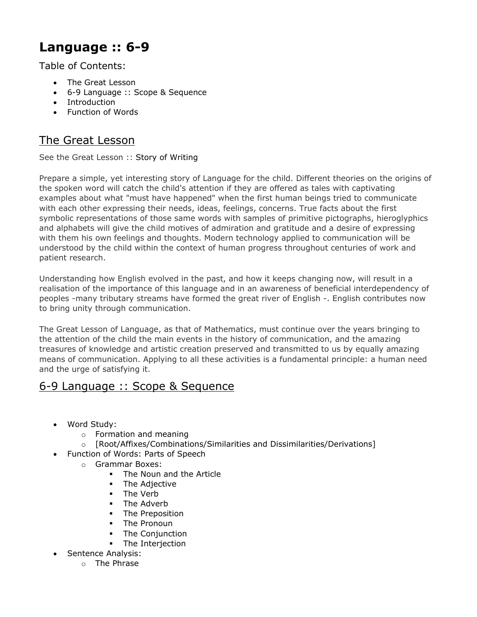# **Language :: 6-9**

Table of Contents:

- The Great Lesson
- 6-9 Language :: Scope & Sequence
- [Introduction](https://web.archive.org/web/20130530192458/http:/www.moteaco.com/albums/language1.html#anchor1420843)
- Function of Words

# The Great Lesson

See the Great Lesson :: Story of Writing

Prepare a simple, yet interesting story of Language for the child. Different theories on the origins of the spoken word will catch the child's attention if they are offered as tales with captivating examples about what "must have happened" when the first human beings tried to communicate with each other expressing their needs, ideas, feelings, concerns. True facts about the first symbolic representations of those same words with samples of primitive pictographs, hieroglyphics and alphabets will give the child motives of admiration and gratitude and a desire of expressing with them his own feelings and thoughts. Modern technology applied to communication will be understood by the child within the context of human progress throughout centuries of work and patient research.

Understanding how English evolved in the past, and how it keeps changing now, will result in a realisation of the importance of this language and in an awareness of beneficial interdependency of peoples -many tributary streams have formed the great river of English -. English contributes now to bring unity through communication.

The Great Lesson of Language, as that of Mathematics, must continue over the years bringing to the attention of the child the main events in the history of communication, and the amazing treasures of knowledge and artistic creation preserved and transmitted to us by equally amazing means of communication. Applying to all these activities is a fundamental principle: a human need and the urge of satisfying it.

# 6-9 Language :: Scope & Sequence

- Word Study:
	- o Formation and meaning
	- o [Root/Affixes/Combinations/Similarities and Dissimilarities/Derivations]
- Function of Words: Parts of Speech
	- o Grammar Boxes:
		- **The Noun and the Article**
		- **The Adjective**
		- **The Verb**
		- The Adverb
		- **The Preposition**
		- **-** The Pronoun
		- The Conjunction
		- **•** The Interjection
- Sentence Analysis:
	- o The Phrase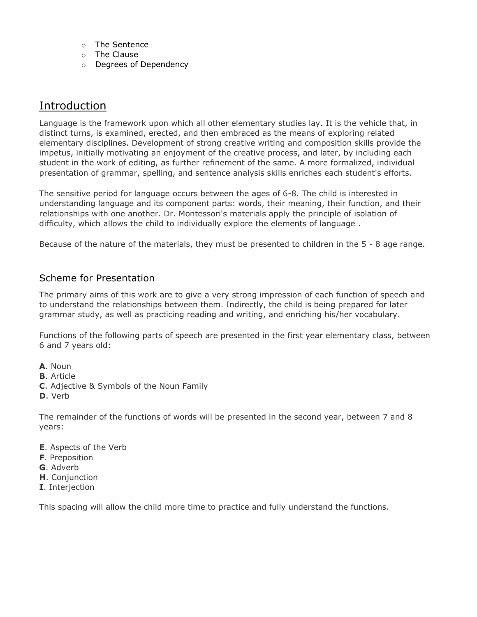- o The Sentence
- o The Clause
- o Degrees of Dependency

# **Introduction**

Language is the framework upon which all other elementary studies lay. It is the vehicle that, in distinct turns, is examined, erected, and then embraced as the means of exploring related elementary disciplines. Development of strong creative writing and composition skills provide the impetus, initially motivating an enjoyment of the creative process, and later, by including each student in the work of editing, as further refinement of the same. A more formalized, individual presentation of grammar, spelling, and sentence analysis skills enriches each student's efforts.

The sensitive period for language occurs between the ages of 6-8. The child is interested in understanding language and its component parts: words, their meaning, their function, and their relationships with one another. Dr. Montessori's materials apply the principle of isolation of difficulty, which allows the child to individually explore the elements of language .

Because of the nature of the materials, they must be presented to children in the 5 - 8 age range.

# Scheme for Presentation

The primary aims of this work are to give a very strong impression of each function of speech and to understand the relationships between them. Indirectly, the child is being prepared for later grammar study, as well as practicing reading and writing, and enriching his/her vocabulary.

Functions of the following parts of speech are presented in the first year elementary class, between 6 and 7 years old:

- **A**. Noun
- **B**. Article
- **C**. Adjective & Symbols of the Noun Family
- **D**. Verb

The remainder of the functions of words will be presented in the second year, between 7 and 8 years:

- **E**. Aspects of the Verb
- **F**. Preposition
- **G**. Adverb
- **H**. Conjunction
- **I**. Interjection

This spacing will allow the child more time to practice and fully understand the functions.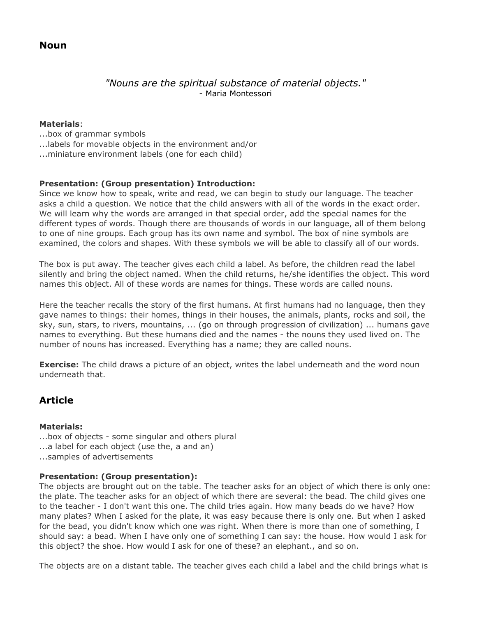**Noun**

# *"Nouns are the spiritual substance of material objects."* - Maria Montessori

### **Materials**:

...box of grammar symbols ...labels for movable objects in the environment and/or ...miniature environment labels (one for each child)

# **Presentation: (Group presentation) Introduction:**

Since we know how to speak, write and read, we can begin to study our language. The teacher asks a child a question. We notice that the child answers with all of the words in the exact order. We will learn why the words are arranged in that special order, add the special names for the different types of words. Though there are thousands of words in our language, all of them belong to one of nine groups. Each group has its own name and symbol. The box of nine symbols are examined, the colors and shapes. With these symbols we will be able to classify all of our words.

The box is put away. The teacher gives each child a label. As before, the children read the label silently and bring the object named. When the child returns, he/she identifies the object. This word names this object. All of these words are names for things. These words are called nouns.

Here the teacher recalls the story of the first humans. At first humans had no language, then they gave names to things: their homes, things in their houses, the animals, plants, rocks and soil, the sky, sun, stars, to rivers, mountains, ... (go on through progression of civilization) ... humans gave names to everything. But these humans died and the names - the nouns they used lived on. The number of nouns has increased. Everything has a name; they are called nouns.

**Exercise:** The child draws a picture of an object, writes the label underneath and the word noun underneath that.

# **Article**

# **Materials:**

...box of objects - some singular and others plural ...a label for each object (use the, a and an) ...samples of advertisements

# **Presentation: (Group presentation):**

The objects are brought out on the table. The teacher asks for an object of which there is only one: the plate. The teacher asks for an object of which there are several: the bead. The child gives one to the teacher - I don't want this one. The child tries again. How many beads do we have? How many plates? When I asked for the plate, it was easy because there is only one. But when I asked for the bead, you didn't know which one was right. When there is more than one of something, I should say: a bead. When I have only one of something I can say: the house. How would I ask for this object? the shoe. How would I ask for one of these? an elephant., and so on.

The objects are on a distant table. The teacher gives each child a label and the child brings what is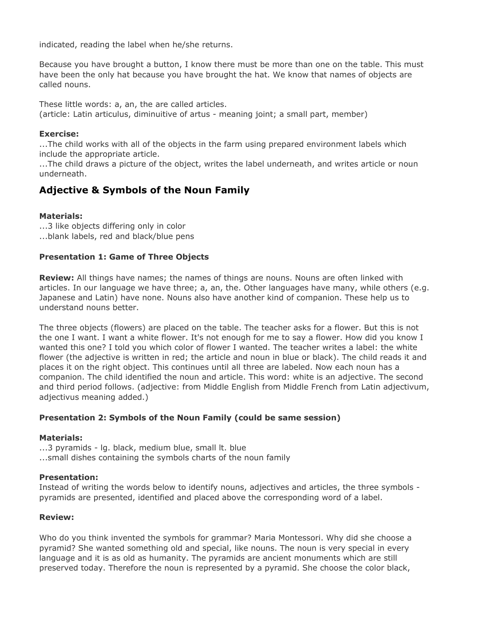indicated, reading the label when he/she returns.

Because you have brought a button, I know there must be more than one on the table. This must have been the only hat because you have brought the hat. We know that names of objects are called nouns.

These little words: a, an, the are called articles. (article: Latin articulus, diminuitive of artus - meaning joint; a small part, member)

#### **Exercise:**

...The child works with all of the objects in the farm using prepared environment labels which include the appropriate article.

...The child draws a picture of the object, writes the label underneath, and writes article or noun underneath.

# **Adjective & Symbols of the Noun Family**

# **Materials:**

...3 like objects differing only in color ...blank labels, red and black/blue pens

### **Presentation 1: Game of Three Objects**

**Review:** All things have names; the names of things are nouns. Nouns are often linked with articles. In our language we have three; a, an, the. Other languages have many, while others (e.g. Japanese and Latin) have none. Nouns also have another kind of companion. These help us to understand nouns better.

The three objects (flowers) are placed on the table. The teacher asks for a flower. But this is not the one I want. I want a white flower. It's not enough for me to say a flower. How did you know I wanted this one? I told you which color of flower I wanted. The teacher writes a label: the white flower (the adjective is written in red; the article and noun in blue or black). The child reads it and places it on the right object. This continues until all three are labeled. Now each noun has a companion. The child identified the noun and article. This word: white is an adjective. The second and third period follows. (adjective: from Middle English from Middle French from Latin adjectivum, adjectivus meaning added.)

# **Presentation 2: Symbols of the Noun Family (could be same session)**

#### **Materials:**

...3 pyramids - lg. black, medium blue, small lt. blue ...small dishes containing the symbols charts of the noun family

#### **Presentation:**

Instead of writing the words below to identify nouns, adjectives and articles, the three symbols pyramids are presented, identified and placed above the corresponding word of a label.

#### **Review:**

Who do you think invented the symbols for grammar? Maria Montessori. Why did she choose a pyramid? She wanted something old and special, like nouns. The noun is very special in every language and it is as old as humanity. The pyramids are ancient monuments which are still preserved today. Therefore the noun is represented by a pyramid. She choose the color black,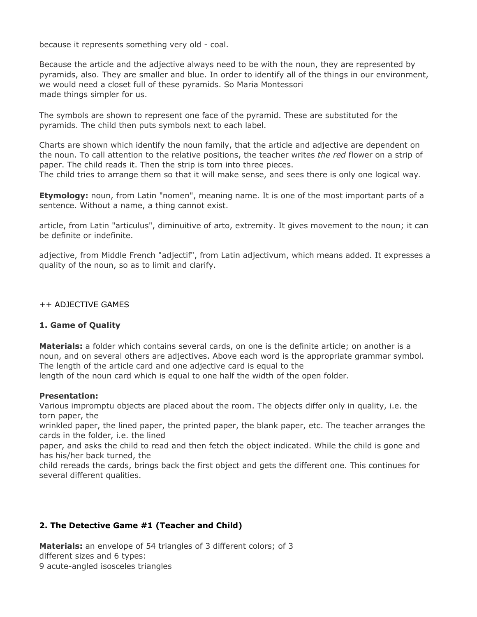because it represents something very old - coal.

Because the article and the adjective always need to be with the noun, they are represented by pyramids, also. They are smaller and blue. In order to identify all of the things in our environment, we would need a closet full of these pyramids. So Maria Montessori made things simpler for us.

The symbols are shown to represent one face of the pyramid. These are substituted for the pyramids. The child then puts symbols next to each label.

Charts are shown which identify the noun family, that the article and adjective are dependent on the noun. To call attention to the relative positions, the teacher writes *the red* flower on a strip of paper. The child reads it. Then the strip is torn into three pieces.

The child tries to arrange them so that it will make sense, and sees there is only one logical way.

**Etymology:** noun, from Latin "nomen", meaning name. It is one of the most important parts of a sentence. Without a name, a thing cannot exist.

article, from Latin "articulus", diminuitive of arto, extremity. It gives movement to the noun; it can be definite or indefinite.

adjective, from Middle French "adjectif", from Latin adjectivum, which means added. It expresses a quality of the noun, so as to limit and clarify.

++ ADJECTIVE GAMES

#### **1. Game of Quality**

**Materials:** a folder which contains several cards, on one is the definite article; on another is a noun, and on several others are adjectives. Above each word is the appropriate grammar symbol. The length of the article card and one adjective card is equal to the length of the noun card which is equal to one half the width of the open folder.

#### **Presentation:**

Various impromptu objects are placed about the room. The objects differ only in quality, i.e. the torn paper, the

wrinkled paper, the lined paper, the printed paper, the blank paper, etc. The teacher arranges the cards in the folder, i.e. the lined

paper, and asks the child to read and then fetch the object indicated. While the child is gone and has his/her back turned, the

child rereads the cards, brings back the first object and gets the different one. This continues for several different qualities.

# **2. The Detective Game #1 (Teacher and Child)**

**Materials:** an envelope of 54 triangles of 3 different colors; of 3 different sizes and 6 types: 9 acute-angled isosceles triangles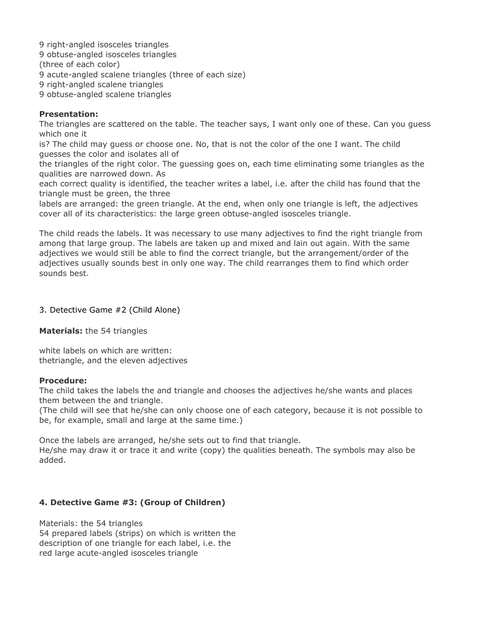9 right-angled isosceles triangles

9 obtuse-angled isosceles triangles

(three of each color)

9 acute-angled scalene triangles (three of each size)

9 right-angled scalene triangles

9 obtuse-angled scalene triangles

## **Presentation:**

The triangles are scattered on the table. The teacher says, I want only one of these. Can you guess which one it

is? The child may guess or choose one. No, that is not the color of the one I want. The child guesses the color and isolates all of

the triangles of the right color. The guessing goes on, each time eliminating some triangles as the qualities are narrowed down. As

each correct quality is identified, the teacher writes a label, i.e. after the child has found that the triangle must be green, the three

labels are arranged: the green triangle. At the end, when only one triangle is left, the adjectives cover all of its characteristics: the large green obtuse-angled isosceles triangle.

The child reads the labels. It was necessary to use many adjectives to find the right triangle from among that large group. The labels are taken up and mixed and lain out again. With the same adjectives we would still be able to find the correct triangle, but the arrangement/order of the adjectives usually sounds best in only one way. The child rearranges them to find which order sounds best.

## 3. Detective Game #2 (Child Alone)

**Materials:** the 54 triangles

white labels on which are written: thetriangle, and the eleven adjectives

#### **Procedure:**

added.

The child takes the labels the and triangle and chooses the adjectives he/she wants and places them between the and triangle.

(The child will see that he/she can only choose one of each category, because it is not possible to be, for example, small and large at the same time.)

Once the labels are arranged, he/she sets out to find that triangle. He/she may draw it or trace it and write (copy) the qualities beneath. The symbols may also be

**4. Detective Game #3: (Group of Children)**

Materials: the 54 triangles 54 prepared labels (strips) on which is written the description of one triangle for each label, i.e. the red large acute-angled isosceles triangle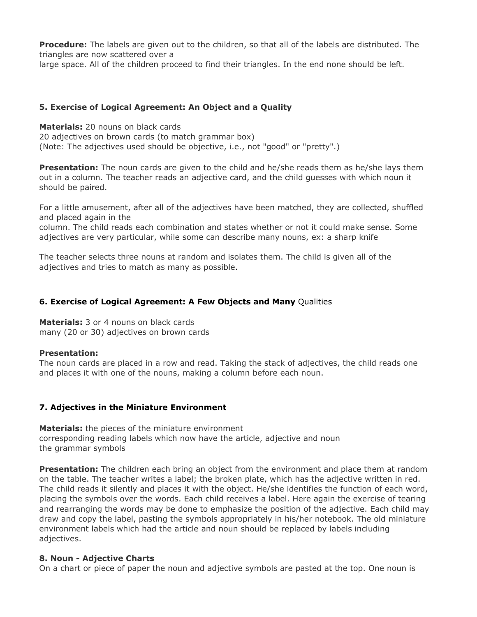**Procedure:** The labels are given out to the children, so that all of the labels are distributed. The triangles are now scattered over a

large space. All of the children proceed to find their triangles. In the end none should be left.

# **5. Exercise of Logical Agreement: An Object and a Quality**

**Materials:** 20 nouns on black cards 20 adjectives on brown cards (to match grammar box) (Note: The adjectives used should be objective, i.e., not "good" or "pretty".)

**Presentation:** The noun cards are given to the child and he/she reads them as he/she lays them out in a column. The teacher reads an adjective card, and the child guesses with which noun it should be paired.

For a little amusement, after all of the adjectives have been matched, they are collected, shuffled and placed again in the

column. The child reads each combination and states whether or not it could make sense. Some adjectives are very particular, while some can describe many nouns, ex: a sharp knife

The teacher selects three nouns at random and isolates them. The child is given all of the adjectives and tries to match as many as possible.

# **6. Exercise of Logical Agreement: A Few Objects and Many** Qualities

**Materials:** 3 or 4 nouns on black cards many (20 or 30) adjectives on brown cards

# **Presentation:**

The noun cards are placed in a row and read. Taking the stack of adjectives, the child reads one and places it with one of the nouns, making a column before each noun.

# **7. Adjectives in the Miniature Environment**

**Materials:** the pieces of the miniature environment corresponding reading labels which now have the article, adjective and noun the grammar symbols

**Presentation:** The children each bring an object from the environment and place them at random on the table. The teacher writes a label; the broken plate, which has the adjective written in red. The child reads it silently and places it with the object. He/she identifies the function of each word, placing the symbols over the words. Each child receives a label. Here again the exercise of tearing and rearranging the words may be done to emphasize the position of the adjective. Each child may draw and copy the label, pasting the symbols appropriately in his/her notebook. The old miniature environment labels which had the article and noun should be replaced by labels including adjectives.

#### **8. Noun - Adjective Charts**

On a chart or piece of paper the noun and adjective symbols are pasted at the top. One noun is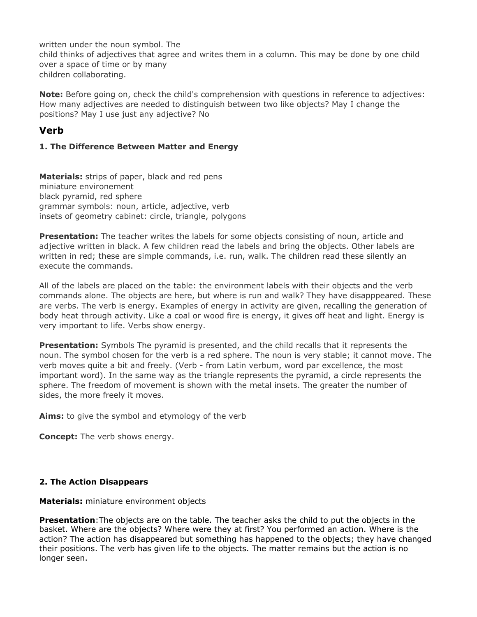written under the noun symbol. The child thinks of adjectives that agree and writes them in a column. This may be done by one child over a space of time or by many children collaborating.

**Note:** Before going on, check the child's comprehension with questions in reference to adjectives: How many adjectives are needed to distinguish between two like objects? May I change the positions? May I use just any adjective? No

# **Verb**

# **1. The Difference Between Matter and Energy**

**Materials:** strips of paper, black and red pens miniature environement black pyramid, red sphere grammar symbols: noun, article, adjective, verb insets of geometry cabinet: circle, triangle, polygons

**Presentation:** The teacher writes the labels for some objects consisting of noun, article and adjective written in black. A few children read the labels and bring the objects. Other labels are written in red; these are simple commands, i.e. run, walk. The children read these silently an execute the commands.

All of the labels are placed on the table: the environment labels with their objects and the verb commands alone. The objects are here, but where is run and walk? They have disapppeared. These are verbs. The verb is energy. Examples of energy in activity are given, recalling the generation of body heat through activity. Like a coal or wood fire is energy, it gives off heat and light. Energy is very important to life. Verbs show energy.

**Presentation:** Symbols The pyramid is presented, and the child recalls that it represents the noun. The symbol chosen for the verb is a red sphere. The noun is very stable; it cannot move. The verb moves quite a bit and freely. (Verb - from Latin verbum, word par excellence, the most important word). In the same way as the triangle represents the pyramid, a circle represents the sphere. The freedom of movement is shown with the metal insets. The greater the number of sides, the more freely it moves.

**Aims:** to give the symbol and etymology of the verb

**Concept:** The verb shows energy.

# **2. The Action Disappears**

**Materials:** miniature environment objects

**Presentation**:The objects are on the table. The teacher asks the child to put the objects in the basket. Where are the objects? Where were they at first? You performed an action. Where is the action? The action has disappeared but something has happened to the objects; they have changed their positions. The verb has given life to the objects. The matter remains but the action is no longer seen.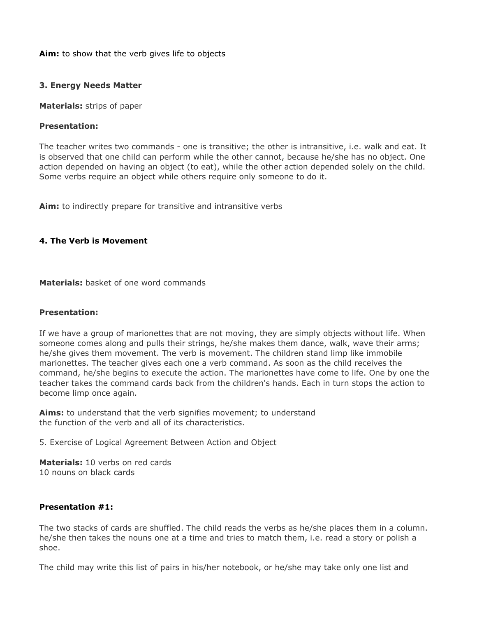**Aim:** to show that the verb gives life to objects

#### **3. Energy Needs Matter**

**Materials:** strips of paper

#### **Presentation:**

The teacher writes two commands - one is transitive; the other is intransitive, i.e. walk and eat. It is observed that one child can perform while the other cannot, because he/she has no object. One action depended on having an object (to eat), while the other action depended solely on the child. Some verbs require an object while others require only someone to do it.

**Aim:** to indirectly prepare for transitive and intransitive verbs

#### **4. The Verb is Movement**

**Materials:** basket of one word commands

#### **Presentation:**

If we have a group of marionettes that are not moving, they are simply objects without life. When someone comes along and pulls their strings, he/she makes them dance, walk, wave their arms; he/she gives them movement. The verb is movement. The children stand limp like immobile marionettes. The teacher gives each one a verb command. As soon as the child receives the command, he/she begins to execute the action. The marionettes have come to life. One by one the teacher takes the command cards back from the children's hands. Each in turn stops the action to become limp once again.

**Aims:** to understand that the verb signifies movement; to understand the function of the verb and all of its characteristics.

5. Exercise of Logical Agreement Between Action and Object

**Materials:** 10 verbs on red cards 10 nouns on black cards

#### **Presentation #1:**

The two stacks of cards are shuffled. The child reads the verbs as he/she places them in a column. he/she then takes the nouns one at a time and tries to match them, i.e. read a story or polish a shoe.

The child may write this list of pairs in his/her notebook, or he/she may take only one list and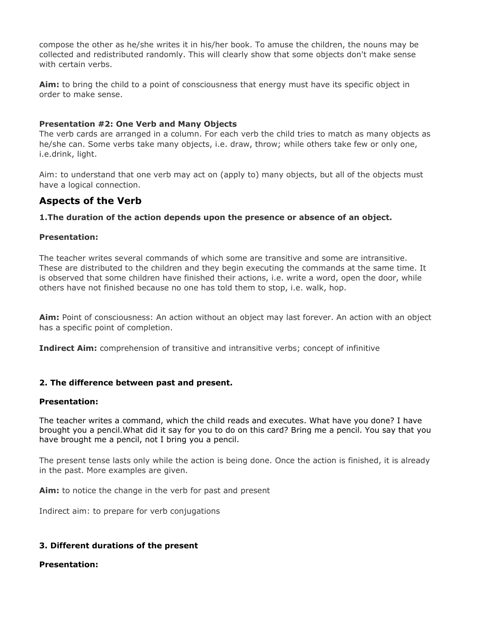compose the other as he/she writes it in his/her book. To amuse the children, the nouns may be collected and redistributed randomly. This will clearly show that some objects don't make sense with certain verbs.

**Aim:** to bring the child to a point of consciousness that energy must have its specific object in order to make sense.

#### **Presentation #2: One Verb and Many Objects**

The verb cards are arranged in a column. For each verb the child tries to match as many objects as he/she can. Some verbs take many objects, i.e. draw, throw; while others take few or only one, i.e.drink, light.

Aim: to understand that one verb may act on (apply to) many objects, but all of the objects must have a logical connection.

# **Aspects of the Verb**

### **1.The duration of the action depends upon the presence or absence of an object.**

#### **Presentation:**

The teacher writes several commands of which some are transitive and some are intransitive. These are distributed to the children and they begin executing the commands at the same time. It is observed that some children have finished their actions, i.e. write a word, open the door, while others have not finished because no one has told them to stop, i.e. walk, hop.

**Aim:** Point of consciousness: An action without an object may last forever. An action with an object has a specific point of completion.

**Indirect Aim:** comprehension of transitive and intransitive verbs; concept of infinitive

#### **2. The difference between past and present.**

#### **Presentation:**

The teacher writes a command, which the child reads and executes. What have you done? I have brought you a pencil.What did it say for you to do on this card? Bring me a pencil. You say that you have brought me a pencil, not I bring you a pencil.

The present tense lasts only while the action is being done. Once the action is finished, it is already in the past. More examples are given.

**Aim:** to notice the change in the verb for past and present

Indirect aim: to prepare for verb conjugations

# **3. Different durations of the present**

**Presentation:**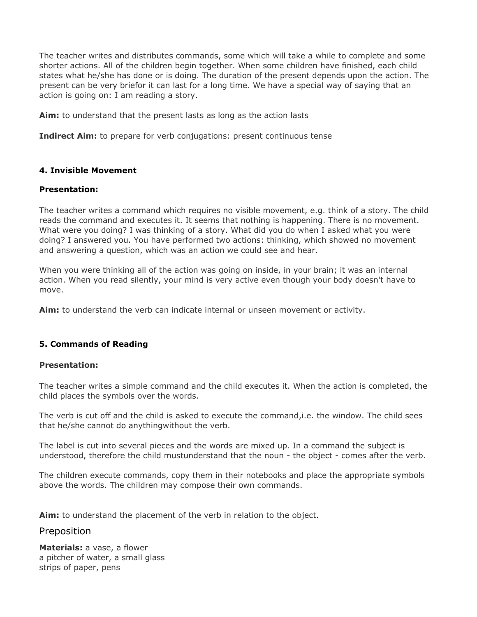The teacher writes and distributes commands, some which will take a while to complete and some shorter actions. All of the children begin together. When some children have finished, each child states what he/she has done or is doing. The duration of the present depends upon the action. The present can be very briefor it can last for a long time. We have a special way of saying that an action is going on: I am reading a story.

**Aim:** to understand that the present lasts as long as the action lasts

**Indirect Aim:** to prepare for verb conjugations: present continuous tense

### **4. Invisible Movement**

#### **Presentation:**

The teacher writes a command which requires no visible movement, e.g. think of a story. The child reads the command and executes it. It seems that nothing is happening. There is no movement. What were you doing? I was thinking of a story. What did you do when I asked what you were doing? I answered you. You have performed two actions: thinking, which showed no movement and answering a question, which was an action we could see and hear.

When you were thinking all of the action was going on inside, in your brain; it was an internal action. When you read silently, your mind is very active even though your body doesn't have to move.

**Aim:** to understand the verb can indicate internal or unseen movement or activity.

#### **5. Commands of Reading**

#### **Presentation:**

The teacher writes a simple command and the child executes it. When the action is completed, the child places the symbols over the words.

The verb is cut off and the child is asked to execute the command,i.e. the window. The child sees that he/she cannot do anythingwithout the verb.

The label is cut into several pieces and the words are mixed up. In a command the subject is understood, therefore the child mustunderstand that the noun - the object - comes after the verb.

The children execute commands, copy them in their notebooks and place the appropriate symbols above the words. The children may compose their own commands.

**Aim:** to understand the placement of the verb in relation to the object.

# Preposition

**Materials:** a vase, a flower a pitcher of water, a small glass strips of paper, pens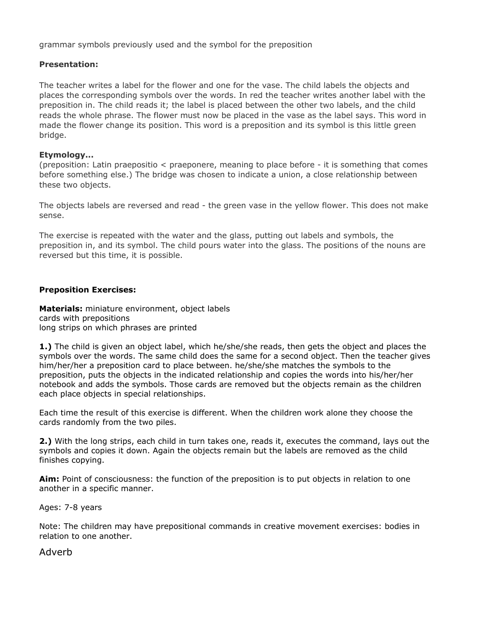grammar symbols previously used and the symbol for the preposition

#### **Presentation:**

The teacher writes a label for the flower and one for the vase. The child labels the objects and places the corresponding symbols over the words. In red the teacher writes another label with the preposition in. The child reads it; the label is placed between the other two labels, and the child reads the whole phrase. The flower must now be placed in the vase as the label says. This word in made the flower change its position. This word is a preposition and its symbol is this little green bridge.

#### **Etymology...**

(preposition: Latin praepositio < praeponere, meaning to place before - it is something that comes before something else.) The bridge was chosen to indicate a union, a close relationship between these two objects.

The objects labels are reversed and read - the green vase in the yellow flower. This does not make sense.

The exercise is repeated with the water and the glass, putting out labels and symbols, the preposition in, and its symbol. The child pours water into the glass. The positions of the nouns are reversed but this time, it is possible.

#### **Preposition Exercises:**

**Materials:** miniature environment, object labels cards with prepositions long strips on which phrases are printed

**1.)** The child is given an object label, which he/she/she reads, then gets the object and places the symbols over the words. The same child does the same for a second object. Then the teacher gives him/her/her a preposition card to place between. he/she/she matches the symbols to the preposition, puts the objects in the indicated relationship and copies the words into his/her/her notebook and adds the symbols. Those cards are removed but the objects remain as the children each place objects in special relationships.

Each time the result of this exercise is different. When the children work alone they choose the cards randomly from the two piles.

**2.)** With the long strips, each child in turn takes one, reads it, executes the command, lays out the symbols and copies it down. Again the objects remain but the labels are removed as the child finishes copying.

**Aim:** Point of consciousness: the function of the preposition is to put objects in relation to one another in a specific manner.

Ages: 7-8 years

Note: The children may have prepositional commands in creative movement exercises: bodies in relation to one another.

#### Adverb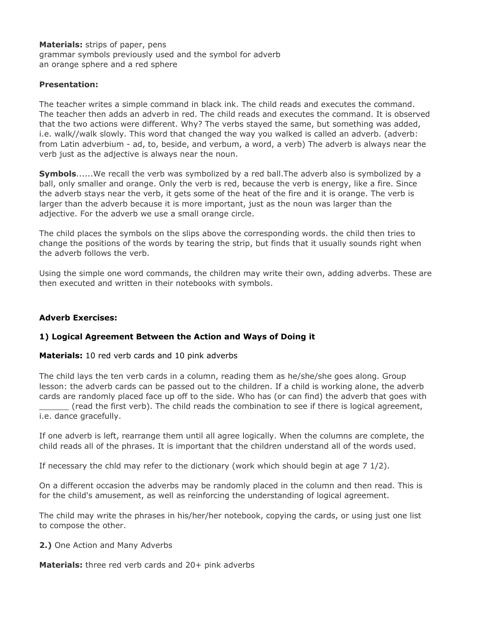**Materials:** strips of paper, pens grammar symbols previously used and the symbol for adverb an orange sphere and a red sphere

## **Presentation:**

The teacher writes a simple command in black ink. The child reads and executes the command. The teacher then adds an adverb in red. The child reads and executes the command. It is observed that the two actions were different. Why? The verbs stayed the same, but something was added, i.e. walk//walk slowly. This word that changed the way you walked is called an adverb. (adverb: from Latin adverbium - ad, to, beside, and verbum, a word, a verb) The adverb is always near the verb just as the adjective is always near the noun.

**Symbols**......We recall the verb was symbolized by a red ball.The adverb also is symbolized by a ball, only smaller and orange. Only the verb is red, because the verb is energy, like a fire. Since the adverb stays near the verb, it gets some of the heat of the fire and it is orange. The verb is larger than the adverb because it is more important, just as the noun was larger than the adjective. For the adverb we use a small orange circle.

The child places the symbols on the slips above the corresponding words. the child then tries to change the positions of the words by tearing the strip, but finds that it usually sounds right when the adverb follows the verb.

Using the simple one word commands, the children may write their own, adding adverbs. These are then executed and written in their notebooks with symbols.

#### **Adverb Exercises:**

# **1) Logical Agreement Between the Action and Ways of Doing it**

**Materials:** 10 red verb cards and 10 pink adverbs

The child lays the ten verb cards in a column, reading them as he/she/she goes along. Group lesson: the adverb cards can be passed out to the children. If a child is working alone, the adverb cards are randomly placed face up off to the side. Who has (or can find) the adverb that goes with \_\_\_\_\_\_ (read the first verb). The child reads the combination to see if there is logical agreement, i.e. dance gracefully.

If one adverb is left, rearrange them until all agree logically. When the columns are complete, the child reads all of the phrases. It is important that the children understand all of the words used.

If necessary the chld may refer to the dictionary (work which should begin at age 7 1/2).

On a different occasion the adverbs may be randomly placed in the column and then read. This is for the child's amusement, as well as reinforcing the understanding of logical agreement.

The child may write the phrases in his/her/her notebook, copying the cards, or using just one list to compose the other.

#### **2.)** One Action and Many Adverbs

**Materials:** three red verb cards and 20+ pink adverbs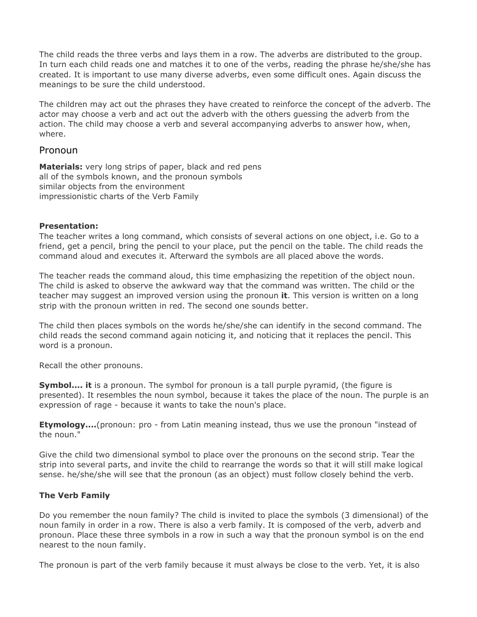The child reads the three verbs and lays them in a row. The adverbs are distributed to the group. In turn each child reads one and matches it to one of the verbs, reading the phrase he/she/she has created. It is important to use many diverse adverbs, even some difficult ones. Again discuss the meanings to be sure the child understood.

The children may act out the phrases they have created to reinforce the concept of the adverb. The actor may choose a verb and act out the adverb with the others guessing the adverb from the action. The child may choose a verb and several accompanying adverbs to answer how, when, where.

# Pronoun

**Materials:** very long strips of paper, black and red pens all of the symbols known, and the pronoun symbols similar objects from the environment impressionistic charts of the Verb Family

### **Presentation:**

The teacher writes a long command, which consists of several actions on one object, i.e. Go to a friend, get a pencil, bring the pencil to your place, put the pencil on the table. The child reads the command aloud and executes it. Afterward the symbols are all placed above the words.

The teacher reads the command aloud, this time emphasizing the repetition of the object noun. The child is asked to observe the awkward way that the command was written. The child or the teacher may suggest an improved version using the pronoun **it**. This version is written on a long strip with the pronoun written in red. The second one sounds better.

The child then places symbols on the words he/she/she can identify in the second command. The child reads the second command again noticing it, and noticing that it replaces the pencil. This word is a pronoun.

Recall the other pronouns.

**Symbol.... it** is a pronoun. The symbol for pronoun is a tall purple pyramid, (the figure is presented). It resembles the noun symbol, because it takes the place of the noun. The purple is an expression of rage - because it wants to take the noun's place.

**Etymology....**(pronoun: pro - from Latin meaning instead, thus we use the pronoun "instead of the noun."

Give the child two dimensional symbol to place over the pronouns on the second strip. Tear the strip into several parts, and invite the child to rearrange the words so that it will still make logical sense. he/she/she will see that the pronoun (as an object) must follow closely behind the verb.

# **The Verb Family**

Do you remember the noun family? The child is invited to place the symbols (3 dimensional) of the noun family in order in a row. There is also a verb family. It is composed of the verb, adverb and pronoun. Place these three symbols in a row in such a way that the pronoun symbol is on the end nearest to the noun family.

The pronoun is part of the verb family because it must always be close to the verb. Yet, it is also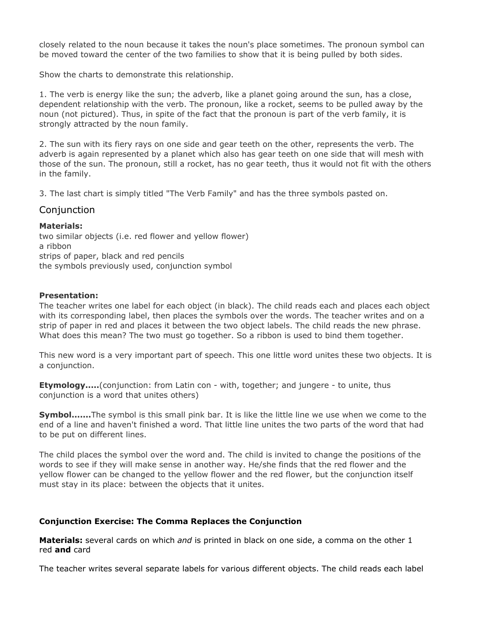closely related to the noun because it takes the noun's place sometimes. The pronoun symbol can be moved toward the center of the two families to show that it is being pulled by both sides.

Show the charts to demonstrate this relationship.

1. The verb is energy like the sun; the adverb, like a planet going around the sun, has a close, dependent relationship with the verb. The pronoun, like a rocket, seems to be pulled away by the noun (not pictured). Thus, in spite of the fact that the pronoun is part of the verb family, it is strongly attracted by the noun family.

2. The sun with its fiery rays on one side and gear teeth on the other, represents the verb. The adverb is again represented by a planet which also has gear teeth on one side that will mesh with those of the sun. The pronoun, still a rocket, has no gear teeth, thus it would not fit with the others in the family.

3. The last chart is simply titled "The Verb Family" and has the three symbols pasted on.

# Conjunction

### **Materials:**

two similar objects (i.e. red flower and yellow flower) a ribbon strips of paper, black and red pencils the symbols previously used, conjunction symbol

### **Presentation:**

The teacher writes one label for each object (in black). The child reads each and places each object with its corresponding label, then places the symbols over the words. The teacher writes and on a strip of paper in red and places it between the two object labels. The child reads the new phrase. What does this mean? The two must go together. So a ribbon is used to bind them together.

This new word is a very important part of speech. This one little word unites these two objects. It is a conjunction.

**Etymology.....**(conjunction: from Latin con - with, together; and jungere - to unite, thus conjunction is a word that unites others)

**Symbol.......**The symbol is this small pink bar. It is like the little line we use when we come to the end of a line and haven't finished a word. That little line unites the two parts of the word that had to be put on different lines.

The child places the symbol over the word and. The child is invited to change the positions of the words to see if they will make sense in another way. He/she finds that the red flower and the yellow flower can be changed to the yellow flower and the red flower, but the conjunction itself must stay in its place: between the objects that it unites.

# **Conjunction Exercise: The Comma Replaces the Conjunction**

**Materials:** several cards on which *and* is printed in black on one side, a comma on the other 1 red **and** card

The teacher writes several separate labels for various different objects. The child reads each label